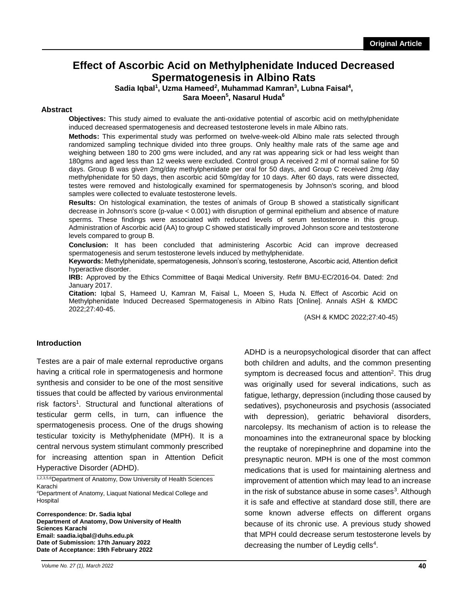# **Effect of Ascorbic Acid on Methylphenidate Induced Decreased Spermatogenesis in Albino Rats**

Sadia Iqbal<sup>1</sup>, Uzma Hameed<sup>2</sup>, Muhammad Kamran<sup>3</sup>, Lubna Faisal<sup>4</sup>,

**Sara Moeen<sup>5</sup> , Nasarul Huda<sup>6</sup>**

### **Abstract**

**Objectives:** This study aimed to evaluate the anti-oxidative potential of ascorbic acid on methylphenidate induced decreased spermatogenesis and decreased testosterone levels in male Albino rats.

**Methods:** This experimental study was performed on twelve-week-old Albino male rats selected through randomized sampling technique divided into three groups. Only healthy male rats of the same age and weighing between 180 to 200 gms were included, and any rat was appearing sick or had less weight than 180gms and aged less than 12 weeks were excluded. Control group A received 2 ml of normal saline for 50 days. Group B was given 2mg/day methylphenidate per oral for 50 days, and Group C received 2mg /day methylphenidate for 50 days, then ascorbic acid 50mg/day for 10 days. After 60 days, rats were dissected, testes were removed and histologically examined for spermatogenesis by Johnson's scoring, and blood samples were collected to evaluate testosterone levels.

**Results:** On histological examination, the testes of animals of Group B showed a statistically significant decrease in Johnson's score (p-value < 0.001) with disruption of germinal epithelium and absence of mature sperms. These findings were associated with reduced levels of serum testosterone in this group. Administration of Ascorbic acid (AA) to group C showed statistically improved Johnson score and testosterone levels compared to group B.

**Conclusion:** It has been concluded that administering Ascorbic Acid can improve decreased spermatogenesis and serum testosterone levels induced by methylphenidate.

**Keywords:** Methylphenidate, spermatogenesis, Johnson's scoring, testosterone, Ascorbic acid, Attention deficit hyperactive disorder.

**IRB:** Approved by the Ethics Committee of Baqai Medical University. Ref# BMU-EC/2016-04. Dated: 2nd January 2017.

**Citation:** Iqbal S, Hameed U, Kamran M, Faisal L, Moeen S, Huda N. Effect of Ascorbic Acid on Methylphenidate Induced Decreased Spermatogenesis in Albino Rats [Online]. Annals ASH & KMDC 2022;27:40-45.

(ASH & KMDC 2022;27:40-45)

### **Introduction**

Testes are a pair of male external reproductive organs having a critical role in spermatogenesis and hormone synthesis and consider to be one of the most sensitive tissues that could be affected by various environmental risk factors<sup>1</sup>. Structural and functional alterations of testicular germ cells, in turn, can influence the spermatogenesis process. One of the drugs showing testicular toxicity is Methylphenidate (MPH). It is a central nervous system stimulant commonly prescribed for increasing attention span in Attention Deficit Hyperactive Disorder (ADHD).

1,2,3,5,6 Department of Anatomy, Dow University of Health Sciences Karachi <sup>4</sup>Department of Anatomy, Liaquat National Medical College and

**Hospital** 

**Correspondence: Dr. Sadia Iqbal Department of Anatomy, Dow University of Health Sciences Karachi Email: saadia.iqbal@duhs.edu.pk Date of Submission: 17th January 2022 Date of Acceptance: 19th February 2022**

ADHD is a neuropsychological disorder that can affect both children and adults, and the common presenting symptom is decreased focus and attention<sup>2</sup>. This drug was originally used for several indications, such as fatigue, lethargy, depression (including those caused by sedatives), psychoneurosis and psychosis (associated with depression), geriatric behavioral disorders, narcolepsy. Its mechanism of action is to release the monoamines into the extraneuronal space by blocking the reuptake of norepinephrine and dopamine into the presynaptic neuron. MPH is one of the most common medications that is used for maintaining alertness and improvement of attention which may lead to an increase in the risk of substance abuse in some cases<sup>3</sup>. Although it is safe and effective at standard dose still, there are some known adverse effects on different organs because of its chronic use. A previous study showed that MPH could decrease serum testosterone levels by decreasing the number of Leydig cells<sup>4</sup>.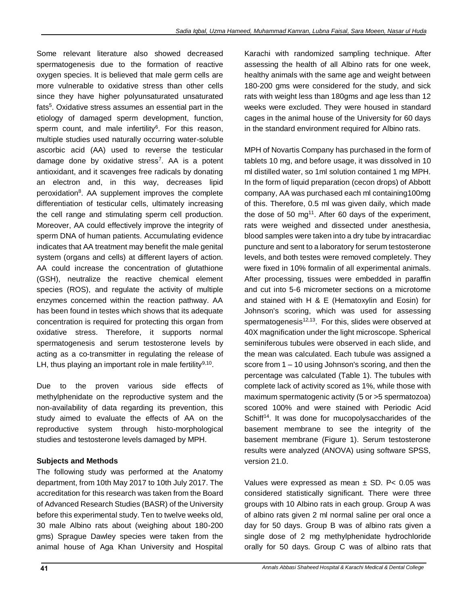Some relevant literature also showed decreased spermatogenesis due to the formation of reactive oxygen species. It is believed that male germ cells are more vulnerable to oxidative stress than other cells since they have higher polyunsaturated unsaturated fats<sup>5</sup>. Oxidative stress assumes an essential part in the etiology of damaged sperm development, function, sperm count, and male infertility<sup>6</sup>. For this reason, multiple studies used naturally occurring water-soluble ascorbic acid (AA) used to reverse the testicular damage done by oxidative stress<sup>7</sup>. AA is a potent antioxidant, and it scavenges free radicals by donating an electron and, in this way, decreases lipid peroxidation<sup>8</sup>. AA supplement improves the complete differentiation of testicular cells, ultimately increasing the cell range and stimulating sperm cell production. Moreover, AA could effectively improve the integrity of sperm DNA of human patients. Accumulating evidence indicates that AA treatment may benefit the male genital system (organs and cells) at different layers of action. AA could increase the concentration of glutathione (GSH), neutralize the reactive chemical element species (ROS), and regulate the activity of multiple enzymes concerned within the reaction pathway. AA has been found in testes which shows that its adequate concentration is required for protecting this organ from oxidative stress. Therefore, it supports normal spermatogenesis and serum testosterone levels by acting as a co-transmitter in regulating the release of LH, thus playing an important role in male fertility<sup>9,10</sup>.

Due to the proven various side effects of methylphenidate on the reproductive system and the non-availability of data regarding its prevention, this study aimed to evaluate the effects of AA on the reproductive system through histo-morphological studies and testosterone levels damaged by MPH.

# **Subjects and Methods**

The following study was performed at the Anatomy department, from 10th May 2017 to 10th July 2017. The accreditation for this research was taken from the Board of Advanced Research Studies (BASR) of the University before this experimental study. Ten to twelve weeks old, 30 male Albino rats about (weighing about 180-200 gms) Sprague Dawley species were taken from the animal house of Aga Khan University and Hospital Karachi with randomized sampling technique. After assessing the health of all Albino rats for one week, healthy animals with the same age and weight between 180-200 gms were considered for the study, and sick rats with weight less than 180gms and age less than 12 weeks were excluded. They were housed in standard cages in the animal house of the University for 60 days in the standard environment required for Albino rats.

MPH of Novartis Company has purchased in the form of tablets 10 mg, and before usage, it was dissolved in 10 ml distilled water, so 1ml solution contained 1 mg MPH. In the form of liquid preparation (cecon drops) of Abbott company, AA was purchased each ml containing100mg of this. Therefore, 0.5 ml was given daily, which made the dose of 50 mg<sup>11</sup>. After 60 days of the experiment, rats were weighed and dissected under anesthesia, blood samples were taken into a dry tube by intracardiac puncture and sent to a laboratory for serum testosterone levels, and both testes were removed completely. They were fixed in 10% formalin of all experimental animals. After processing, tissues were embedded in paraffin and cut into 5-6 micrometer sections on a microtome and stained with H & E (Hematoxylin and Eosin) for Johnson's scoring, which was used for assessing spermatogenesis<sup>12,13</sup>. For this, slides were observed at 40X magnification under the light microscope. Spherical seminiferous tubules were observed in each slide, and the mean was calculated. Each tubule was assigned a score from 1 – 10 using Johnson's scoring, and then the percentage was calculated (Table 1). The tubules with complete lack of activity scored as 1%, while those with maximum spermatogenic activity (5 or >5 spermatozoa) scored 100% and were stained with Periodic Acid Schiff<sup>14</sup>. It was done for mucopolysaccharides of the basement membrane to see the integrity of the basement membrane (Figure 1). Serum testosterone results were analyzed (ANOVA) using software SPSS, version 21.0.

Values were expressed as mean  $\pm$  SD. P< 0.05 was considered statistically significant. There were three groups with 10 Albino rats in each group. Group A was of albino rats given 2 ml normal saline per oral once a day for 50 days. Group B was of albino rats given a single dose of 2 mg methylphenidate hydrochloride orally for 50 days. Group C was of albino rats that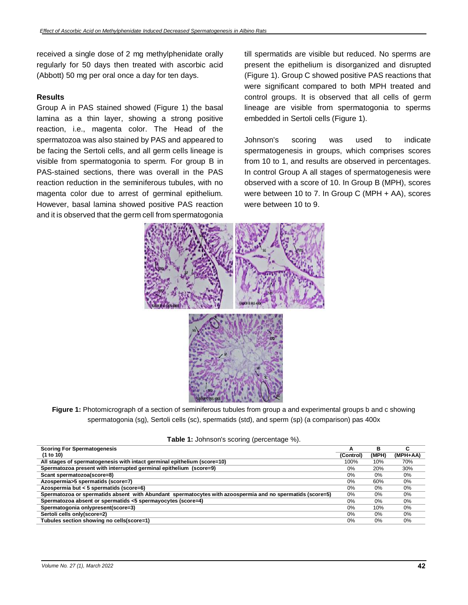received a single dose of 2 mg methylphenidate orally regularly for 50 days then treated with ascorbic acid (Abbott) 50 mg per oral once a day for ten days.

### **Results**

Group A in PAS stained showed (Figure 1) the basal lamina as a thin layer, showing a strong positive reaction, i.e., magenta color. The Head of the spermatozoa was also stained by PAS and appeared to be facing the Sertoli cells, and all germ cells lineage is visible from spermatogonia to sperm. For group B in PAS-stained sections, there was overall in the PAS reaction reduction in the seminiferous tubules, with no magenta color due to arrest of germinal epithelium. However, basal lamina showed positive PAS reaction and it is observed that the germ cell from spermatogonia

till spermatids are visible but reduced. No sperms are present the epithelium is disorganized and disrupted (Figure 1). Group C showed positive PAS reactions that were significant compared to both MPH treated and control groups. It is observed that all cells of germ lineage are visible from spermatogonia to sperms embedded in Sertoli cells (Figure 1).

Johnson's scoring was used to indicate spermatogenesis in groups, which comprises scores from 10 to 1, and results are observed in percentages. In control Group A all stages of spermatogenesis were observed with a score of 10. In Group B (MPH), scores were between 10 to 7. In Group C (MPH + AA), scores were between 10 to 9.



**Figure 1:** Photomicrograph of a section of seminiferous tubules from group a and experimental groups b and c showing spermatogonia (sg), Sertoli cells (sc), spermatids (std), and sperm (sp) (a comparison) pas 400x

| <b>Scoring For Spermatogenesis</b>                                                                        | А         | в     | ∼<br>u   |
|-----------------------------------------------------------------------------------------------------------|-----------|-------|----------|
| (1 to 10)                                                                                                 | (Control) | (MPH) | (MPH+AA) |
| All stages of spermatogenesis with intact germinal epithelium (score=10)                                  | 100%      | 10%   | 70%      |
| Spermatozoa present with interrupted germinal epithelium (score=9)                                        | 0%        | 20%   | 30%      |
| Scant spermatozoa(score=8)                                                                                | 0%        | 0%    | $0\%$    |
| Azospermia>5 spermatids (score=7)                                                                         | 0%        | 60%   | $0\%$    |
| Azospermia but < 5 spermatids (score=6)                                                                   | 0%        | 0%    | $0\%$    |
| Spermatozoa or spermatids absent with Abundant spermatocytes with azoospermia and no spermatids (score=5) | $0\%$     | 0%    | $0\%$    |
| Spermatozoa absent or spermatids <5 spermayocytes (score=4)                                               | 0%        | $0\%$ | $0\%$    |
| Spermatogonia onlypresent(score=3)                                                                        | 0%        | 10%   | $0\%$    |
| Sertoli cells only(score=2)                                                                               | $0\%$     | $0\%$ | $0\%$    |
| Tubules section showing no cells(score=1)                                                                 | 0%        | 0%    | 0%       |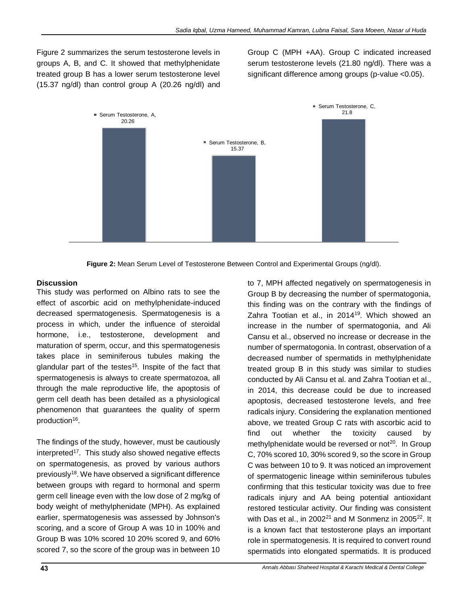Figure 2 summarizes the serum testosterone levels in groups A, B, and C. It showed that methylphenidate treated group B has a lower serum testosterone level (15.37 ng/dl) than control group A (20.26 ng/dl) and Group C (MPH +AA). Group C indicated increased serum testosterone levels (21.80 ng/dl). There was a significant difference among groups (p-value <0.05).



**Figure 2:** Mean Serum Level of Testosterone Between Control and Experimental Groups (ng/dl).

### **Discussion**

This study was performed on Albino rats to see the effect of ascorbic acid on methylphenidate-induced decreased spermatogenesis. Spermatogenesis is a process in which, under the influence of steroidal hormone, i.e., testosterone, development and maturation of sperm, occur, and this spermatogenesis takes place in seminiferous tubules making the glandular part of the testes<sup>15</sup>. Inspite of the fact that spermatogenesis is always to create spermatozoa, all through the male reproductive life, the apoptosis of germ cell death has been detailed as a physiological phenomenon that guarantees the quality of sperm production<sup>16</sup>.

The findings of the study, however, must be cautiously interpreted<sup>17</sup>. This study also showed negative effects on spermatogenesis, as proved by various authors previously<sup>18</sup>. We have observed a significant difference between groups with regard to hormonal and sperm germ cell lineage even with the low dose of 2 mg/kg of body weight of methylphenidate (MPH). As explained earlier, spermatogenesis was assessed by Johnson's scoring, and a score of Group A was 10 in 100% and Group B was 10% scored 10 20% scored 9, and 60% scored 7, so the score of the group was in between 10

to 7, MPH affected negatively on spermatogenesis in Group B by decreasing the number of spermatogonia, this finding was on the contrary with the findings of Zahra Tootian et al., in 2014<sup>19</sup>. Which showed an increase in the number of spermatogonia, and Ali Cansu et al., observed no increase or decrease in the number of spermatogonia. In contrast, observation of a decreased number of spermatids in methylphenidate treated group B in this study was similar to studies conducted by Ali Cansu et al. and Zahra Tootian et al., in 2014, this decrease could be due to increased apoptosis, decreased testosterone levels, and free radicals injury. Considering the explanation mentioned above, we treated Group C rats with ascorbic acid to find out whether the toxicity caused by methylphenidate would be reversed or not<sup>20</sup>. In Group C, 70% scored 10, 30% scored 9, so the score in Group C was between 10 to 9. It was noticed an improvement of spermatogenic lineage within seminiferous tubules confirming that this testicular toxicity was due to free radicals injury and AA being potential antioxidant restored testicular activity. Our finding was consistent with Das et al., in 2002 $^{21}$  and M Sonmenz in 2005 $^{22}$ . It is a known fact that testosterone plays an important role in spermatogenesis. It is required to convert round spermatids into elongated spermatids. It is produced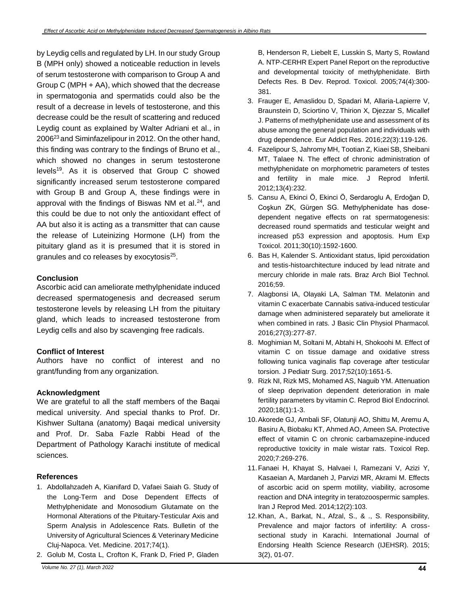by Leydig cells and regulated by LH. In our study Group B (MPH only) showed a noticeable reduction in levels of serum testosterone with comparison to Group A and Group C (MPH + AA), which showed that the decrease in spermatogonia and spermatids could also be the result of a decrease in levels of testosterone, and this decrease could be the result of scattering and reduced Leydig count as explained by Walter Adriani et al., in 2006<sup>23</sup> and Siminfazelipour in 2012. On the other hand, this finding was contrary to the findings of Bruno et al., which showed no changes in serum testosterone levels<sup>19</sup>. As it is observed that Group C showed significantly increased serum testosterone compared with Group B and Group A, these findings were in approval with the findings of Biswas NM et al. $24$ , and this could be due to not only the antioxidant effect of AA but also it is acting as a transmitter that can cause the release of Luteinizing Hormone (LH) from the pituitary gland as it is presumed that it is stored in granules and co releases by exocytosis<sup>25</sup>.

# **Conclusion**

Ascorbic acid can ameliorate methylphenidate induced decreased spermatogenesis and decreased serum testosterone levels by releasing LH from the pituitary gland, which leads to increased testosterone from Leydig cells and also by scavenging free radicals.

# **Conflict of Interest**

Authors have no conflict of interest and no grant/funding from any organization.

# **Acknowledgment**

We are grateful to all the staff members of the Baqai medical university. And special thanks to Prof. Dr. Kishwer Sultana (anatomy) Baqai medical university and Prof. Dr. Saba Fazle Rabbi Head of the Department of Pathology Karachi institute of medical sciences.

# **References**

- 1. Abdollahzadeh A, Kianifard D, Vafaei Saiah G. Study of the Long-Term and Dose Dependent Effects of Methylphenidate and Monosodium Glutamate on the Hormonal Alterations of the Pituitary-Testicular Axis and Sperm Analysis in Adolescence Rats. Bulletin of the University of Agricultural Sciences & Veterinary Medicine Cluj-Napoca. Vet. Medicine. 2017;74(1).
- 2. Golub M, Costa L, Crofton K, Frank D, Fried P, Gladen

B, Henderson R, Liebelt E, Lusskin S, Marty S, Rowland A. NTP‐CERHR Expert Panel Report on the reproductive and developmental toxicity of methylphenidate. Birth Defects Res. B Dev. Reprod. Toxicol. 2005;74(4):300- 381.

- 3. Frauger E, Amaslidou D, Spadari M, Allaria-Lapierre V, Braunstein D, Sciortino V, Thirion X, Djezzar S, Micallef J. Patterns of methylphenidate use and assessment of its abuse among the general population and individuals with drug dependence. Eur Addict Res. 2016;22(3):119-126.
- 4. Fazelipour S, Jahromy MH, Tootian Z, Kiaei SB, Sheibani MT, Talaee N. The effect of chronic administration of methylphenidate on morphometric parameters of testes and fertility in male mice. J Reprod Infertil. 2012;13(4):232.
- 5. Cansu A, Ekinci Ö, Ekinci Ö, Serdaroglu A, Erdoğan D, Coşkun ZK, Gürgen SG. Methylphenidate has dosedependent negative effects on rat spermatogenesis: decreased round spermatids and testicular weight and increased p53 expression and apoptosis. Hum Exp Toxicol. 2011;30(10):1592-1600.
- 6. Bas H, Kalender S. Antioxidant status, lipid peroxidation and testis-histoarchitecture induced by lead nitrate and mercury chloride in male rats. Braz Arch Biol Technol. 2016;59.
- 7. Alagbonsi IA, Olayaki LA, Salman TM. Melatonin and vitamin C exacerbate Cannabis sativa-induced testicular damage when administered separately but ameliorate it when combined in rats. J Basic Clin Physiol Pharmacol. 2016;27(3):277-87.
- 8. Moghimian M, Soltani M, Abtahi H, Shokoohi M. Effect of vitamin C on tissue damage and oxidative stress following tunica vaginalis flap coverage after testicular torsion. J Pediatr Surg. 2017;52(10):1651-5.
- 9. Rizk NI, Rizk MS, Mohamed AS, Naguib YM. Attenuation of sleep deprivation dependent deterioration in male fertility parameters by vitamin C. Reprod Biol Endocrinol. 2020;18(1):1-3.
- 10. Akorede GJ, Ambali SF, Olatunji AO, Shittu M, Aremu A, Basiru A, Biobaku KT, Ahmed AO, Ameen SA. Protective effect of vitamin C on chronic carbamazepine-induced reproductive toxicity in male wistar rats. Toxicol Rep. 2020;7:269-276.
- 11. Fanaei H, Khayat S, Halvaei I, Ramezani V, Azizi Y, Kasaeian A, Mardaneh J, Parvizi MR, Akrami M. Effects of ascorbic acid on sperm motility, viability, acrosome reaction and DNA integrity in teratozoospermic samples. Iran J Reprod Med. 2014;12(2):103.
- 12. Khan, A., Barkat, N., Afzal, S., & ., S. Responsibility, Prevalence and major factors of infertility: A crosssectional study in Karachi. International Journal of Endorsing Health Science Research (IJEHSR). 2015; 3(2), 01-07.